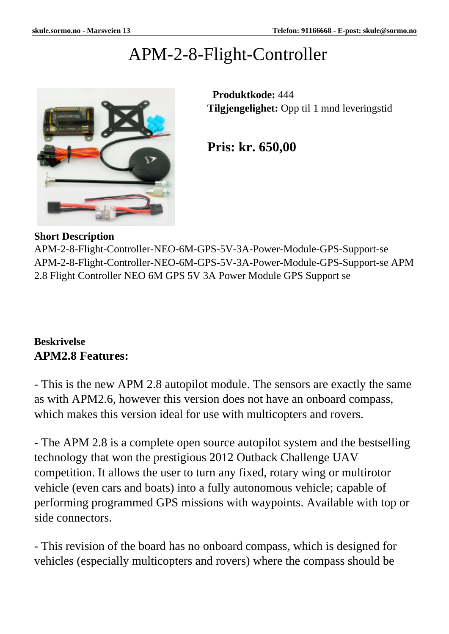# APM-2-8-Flight-Controller



 **Produktkode:** 444 **Tilgjengelighet:** Opp til 1 mnd leveringstid

**Pris: kr. 650,00**

#### **Short Description**

APM-2-8-Flight-Controller-NEO-6M-GPS-5V-3A-Power-Module-GPS-Support-se APM-2-8-Flight-Controller-NEO-6M-GPS-5V-3A-Power-Module-GPS-Support-se APM 2.8 Flight Controller NEO 6M GPS 5V 3A Power Module GPS Support se

#### **Beskrivelse APM2.8 Features:**

- This is the new APM 2.8 autopilot module. The sensors are exactly the same as with APM2.6, however this version does not have an onboard compass, which makes this version ideal for use with multicopters and rovers.

- The APM 2.8 is a complete open source autopilot system and the bestselling technology that won the prestigious 2012 Outback Challenge UAV competition. It allows the user to turn any fixed, rotary wing or multirotor vehicle (even cars and boats) into a fully autonomous vehicle; capable of performing programmed GPS missions with waypoints. Available with top or side connectors.

- This revision of the board has no onboard compass, which is designed for vehicles (especially multicopters and rovers) where the compass should be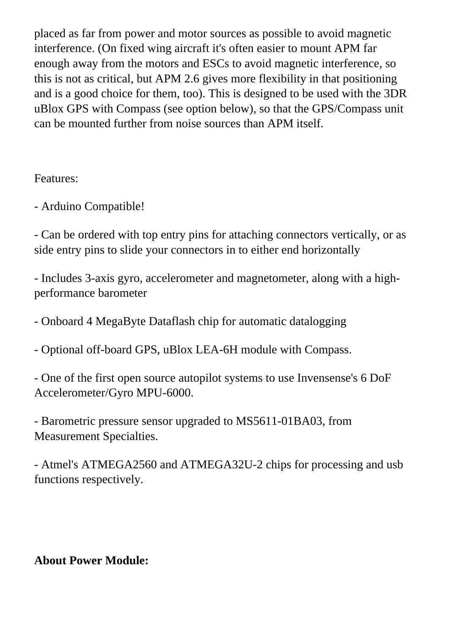placed as far from power and motor sources as possible to avoid magnetic interference. (On fixed wing aircraft it's often easier to mount APM far enough away from the motors and ESCs to avoid magnetic interference, so this is not as critical, but APM 2.6 gives more flexibility in that positioning and is a good choice for them, too). This is designed to be used with the 3DR uBlox GPS with Compass (see option below), so that the GPS/Compass unit can be mounted further from noise sources than APM itself.

#### Features:

- Arduino Compatible!

- Can be ordered with top entry pins for attaching connectors vertically, or as side entry pins to slide your connectors in to either end horizontally

- Includes 3-axis gyro, accelerometer and magnetometer, along with a highperformance barometer

- Onboard 4 MegaByte Dataflash chip for automatic datalogging

- Optional off-board GPS, uBlox LEA-6H module with Compass.

- One of the first open source autopilot systems to use Invensense's 6 DoF Accelerometer/Gyro MPU-6000.

- Barometric pressure sensor upgraded to MS5611-01BA03, from Measurement Specialties.

- Atmel's ATMEGA2560 and ATMEGA32U-2 chips for processing and usb functions respectively.

## **About Power Module:**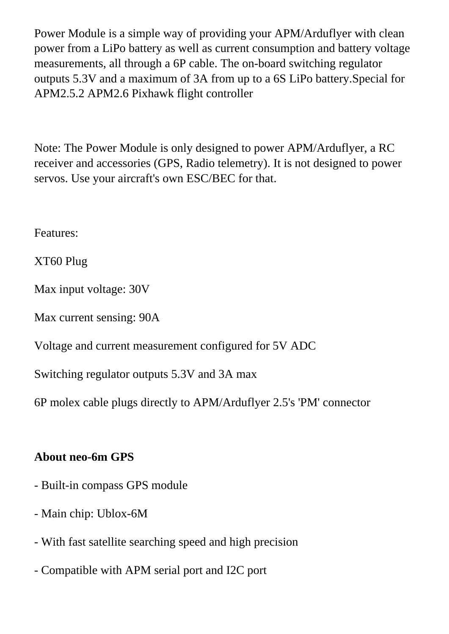Power Module is a simple way of providing your APM/Arduflyer with clean power from a LiPo battery as well as current consumption and battery voltage measurements, all through a 6P cable. The on-board switching regulator outputs 5.3V and a maximum of 3A from up to a 6S LiPo battery.Special for APM2.5.2 APM2.6 Pixhawk flight controller

Note: The Power Module is only designed to power APM/Arduflyer, a RC receiver and accessories (GPS, Radio telemetry). It is not designed to power servos. Use your aircraft's own ESC/BEC for that.

Features:

XT60 Plug

Max input voltage: 30V

Max current sensing: 90A

Voltage and current measurement configured for 5V ADC

Switching regulator outputs 5.3V and 3A max

6P molex cable plugs directly to APM/Arduflyer 2.5's 'PM' connector

#### **About neo-6m GPS**

- Built-in compass GPS module
- Main chip: Ublox-6M
- With fast satellite searching speed and high precision
- Compatible with APM serial port and I2C port